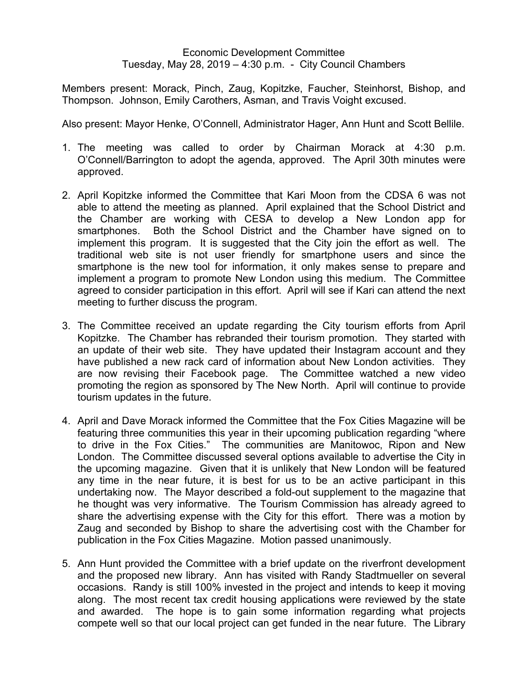## Economic Development Committee Tuesday, May 28, 2019 – 4:30 p.m. - City Council Chambers

Members present: Morack, Pinch, Zaug, Kopitzke, Faucher, Steinhorst, Bishop, and Thompson. Johnson, Emily Carothers, Asman, and Travis Voight excused.

Also present: Mayor Henke, O'Connell, Administrator Hager, Ann Hunt and Scott Bellile.

- 1. The meeting was called to order by Chairman Morack at 4:30 p.m. O'Connell/Barrington to adopt the agenda, approved. The April 30th minutes were approved.
- 2. April Kopitzke informed the Committee that Kari Moon from the CDSA 6 was not able to attend the meeting as planned. April explained that the School District and the Chamber are working with CESA to develop a New London app for smartphones. Both the School District and the Chamber have signed on to implement this program. It is suggested that the City join the effort as well. The traditional web site is not user friendly for smartphone users and since the smartphone is the new tool for information, it only makes sense to prepare and implement a program to promote New London using this medium. The Committee agreed to consider participation in this effort. April will see if Kari can attend the next meeting to further discuss the program.
- 3. The Committee received an update regarding the City tourism efforts from April Kopitzke. The Chamber has rebranded their tourism promotion. They started with an update of their web site. They have updated their Instagram account and they have published a new rack card of information about New London activities. They are now revising their Facebook page. The Committee watched a new video promoting the region as sponsored by The New North. April will continue to provide tourism updates in the future.
- 4. April and Dave Morack informed the Committee that the Fox Cities Magazine will be featuring three communities this year in their upcoming publication regarding "where to drive in the Fox Cities." The communities are Manitowoc, Ripon and New London. The Committee discussed several options available to advertise the City in the upcoming magazine. Given that it is unlikely that New London will be featured any time in the near future, it is best for us to be an active participant in this undertaking now. The Mayor described a fold-out supplement to the magazine that he thought was very informative. The Tourism Commission has already agreed to share the advertising expense with the City for this effort. There was a motion by Zaug and seconded by Bishop to share the advertising cost with the Chamber for publication in the Fox Cities Magazine. Motion passed unanimously.
- 5. Ann Hunt provided the Committee with a brief update on the riverfront development and the proposed new library. Ann has visited with Randy Stadtmueller on several occasions. Randy is still 100% invested in the project and intends to keep it moving along. The most recent tax credit housing applications were reviewed by the state and awarded. The hope is to gain some information regarding what projects compete well so that our local project can get funded in the near future. The Library